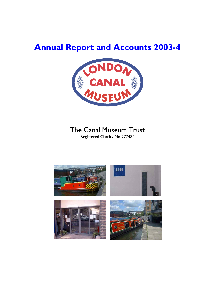# **Annual Report and Accounts 2003-4**



## The Canal Museum Trust

Registered Charity No 277484

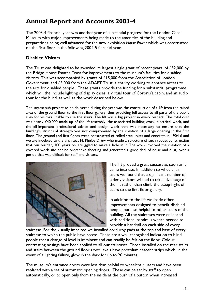## **Annual Report and Accounts 2003-4**

The 2003-4 financial year was another year of substantial progress for the London Canal Museum with major improvements being made to the amenities of the building and preparations being well advanced for the new exhibition *Horse Power* which was constructed on the first floor in the following 2004-5 financial year.

## **Disabled Visitors**

The Trust was delighted to be awarded its largest single grant of recent years, of £52,000 by the Bridge House Estates Trust for improvements to the museum's facilities for disabled visitors. This was accompanied by grants of £15,000 from the Association of London Government, and £3,000 from the ADAPT Trust, a charity working to enhance access to the arts for disabled people. These grants provide the funding for a substantial programme which will the include lighting of display cases, a virtual tour of Coronis's cabin, and an audio tour for the blind, as well as the work described below.

The largest sub-project to be delivered during the year was the construction of a lift from the raised area of the ground floor to the first floor gallery, thus providing full access to all parts of the public area for visitors unable to use the stairs. The lift was a big project in every respect. The total cost was nearly £40,000 made up of the lift assembly, the associated building work, electrical work, and the all-important professional advice and design work that was necessary to ensure that the building's structural strength was not compromised by the creation of a large opening in the first floor. The ground and first floors were constructed of rolled steel joists and concrete in 1904-6 and we are indebted to the architect H. Phelps Drew who made a structure of such robust construction that our builder, 100 years on, struggled to make a hole in it. The work involved the creation of a covered work site behind protective sheeting and generated a good deal of noise and dust, over a period that was difficult for staff and visitors.



The lift proved a great success as soon as it came into use. In addition to wheelchair users we found that a significant number of elderly visitors wished to take advantage of the lift rather than climb the steep flight of stairs to the first floor gallery.

In addition to the lift we made other improvements designed to benefit disabled people, but also helpful to other users of the building. All the staircases were enhanced with additional handrails where needed to provide a handrail on each side of every

staircase. For the visually impaired we installed corduroy pads at the top and base of every staircase to which the public have access. These are a well recognised indication to blind people that a change of level is imminent and can readily be felt on the floor. Colour contrasting nosings have been applied to all our staircases. Those installed on the rear stairs and stairs between the ground floor's two levels have photoluminescent strips which, in the event of a lighting failure, glow in the dark for up to 20 minutes.

The museum's entrance doors were less than helpful to wheelchair users and have been replaced with a set of automatic opening doors. These can be set by staff to open automatically, or to open only from the inside at the push of a button when increased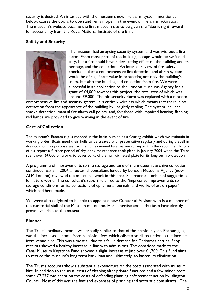security is desired. An interface with the museum's new fire alarm system, mentioned below, causes the doors to open and remain open in the event of fire alarm activation. The museum's website became the first museum site to be given the "See-it-right" award for accessibility from the Royal National Institute of the Blind.

## **Safety and Security**



The museum had an ageing security system and was without a fire alarm. From most parts of the building, escape would be swift and easy, but a fire could have a devastating effect on the building and its heritage, and the collection. An internal review of fire safety concluded that a comprehensive fire detection and alarm system would be of significant value in protecting not only the building's users, but also the building and collection from fire. We were successful in an application to the London Museums Agency for a grant of £4,000 towards this project, the total cost of which was around £9,000. The old security alarm was replaced with a modern

comprehensive fire and security system. It is entirely wireless which means that there is no detraction from the appearance of the building by unsightly cabling. The system includes smoke detection, manual fire alarm call points, and, for those with impaired hearing, flashing red lamps are provided to give warning in the event of fire.

## **Care of Collection**

The museum's Bantam tug is moored in the basin outside as a floating exhibit which we maintain in working order. Boats need their hulls to be treated with preservative regularly and during a spell in dry dock for this purpose we had the hull examined by a marine surveyor. On the recommendations of his report a further period of dry dock maintenance took place in January 2004 when the Trust spent over £4,000 on works to cover parts of the hull with steel plate for its long term protection.

A programme of improvements to the storage and care of the museum's archive collection continued. Early in 2004 an external consultant funded by London Museums Agency (now ALM London) reviewed the museum's work in this area. She made a number of suggestions for future work. The consultant's report referred to the "impressive improvements to storage conditions for its collections of ephemera, journals, and works of art on paper" which had been made.

We were also delighted to be able to appoint a new Curatorial Advisor who is a member of the curatorial staff of the Museum of London. Her expertise and enthusiasm have already proved valuable to the museum.

## **Finance**

The Trust's ordinary income was broadly similar to that of the previous year. Encouraging was the increased income from admission fees which offset a small reduction in the income from venue hire. This was almost all due to a fall in demand for Christmas parties. Shop receipts showed a healthy increase in line with admissions. The donations made to the Canal Museum Keystone Fund showed a slight increase at just over £1,700. This Fund aims to reduce the museum's long term bank loan and, ultimately, to hasten its elimination.

The Trust's accounts show a substantial expenditure on the costs associated with museum hire. In addition to the usual costs of cleaning after private functions and a few minor costs, some £7,277 was spent on the costs of defending planning enforcement action by Islington Council. Most of this was the fees and expenses of planning and accoustic consultants. The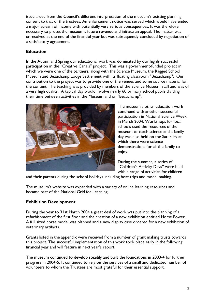issue arose from the Council's different interpretation of the museum's existing planning consent to that of the trustees. An enforcement notice was served which would have ended a major stream of income with potentially very serious consequences. It was therefore necessary to protet the museum's future revenue and initiate an appeal. The matter was unresolved at the end of the financial year but was subsequently concluded by negotiation of a satisfactory agreement.

## **Education**

In the Autmn and Spring our educational work was dominated by our highly successful participation in the "Creative Canals" project. This was a government-funded project in which we were one of the partners, along with the Science Museum, the Ragged School Museum and Beauchamp Lodge Settlement with its floating classroom "Beauchamp". Our contribution to the project was to provide one of the venues and some source material for the content. The teaching was provided by members of the Science Museum staff and was of a very high quality. A typical day would involve nearly 60 primary school pupils dividing their time between activities in the Museum and on "Beauchamp".



The museum's other education work continued with another successful participation in National Science Week, in March 2004. Workshops for local schools used the resources of the museum to teach science and a family day was also held on the Saturday at which there were science demonstrations for all the family to enjoy.

During the summer, a series of "Children's Activity Days" were held with a range of activities for children

and their parents during the school holidays including boat trips and model making.

The museum's website was expanded with a variety of online learning resources and became part of the National Grid for Learning.

## **Exhibition Development**

During the year to 31st March 2004 a great deal of work was put into the planning of a refurbishment of the first floor and the creation of a new exhibition entitled Horse Power. A full sized horse model was planned and a new display case ordered for a new exhibition of veterinary artifacts.

Grants listed in the appendix were received from a number of grant making trusts towards this project. The successful implementation of this work took place early in the following financial year and will feature in next year's report.

The museum continued to develop steadily and built the foundations in 2003-4 for further progress in 2004-5. It continued to rely on the services of a small and dedicated number of volunteers to whom the Trustees are most grateful for their essential support.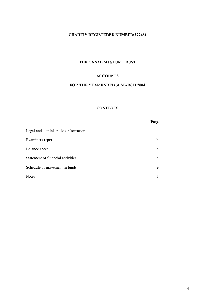## **CHARITY REGISTERED NUMBER:277484**

## **THE CANAL MUSEUM TRUST**

### **ACCOUNTS**

## **FOR THE YEAR ENDED 31 MARCH 2004**

#### **CONTENTS**

|                                      | Page        |
|--------------------------------------|-------------|
| Legal and administrative information | a           |
| Examiners report                     | b           |
| <b>Balance</b> sheet                 | $\mathbf c$ |
| Statement of financial activities    | d           |
| Schedule of movement in funds        | e           |
| <b>Notes</b>                         |             |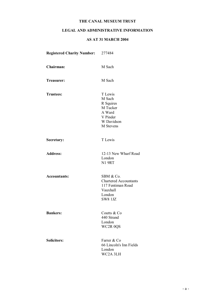## **LEGAL AND ADMINISTRATIVE INFORMATION**

#### **AS AT 31 MARCH 2004**

| <b>Registered Charity Number:</b> | 277484                                                                                                 |
|-----------------------------------|--------------------------------------------------------------------------------------------------------|
| Chairman:                         | M Sach                                                                                                 |
| Treasurer:                        | M Sach                                                                                                 |
| <b>Trustees:</b>                  | T Lewis<br>M Sach<br>R Squires<br>M Tucker<br>A Ward<br>V Pinder<br>W Davidson<br>M Stevens            |
| Secretary:                        | T Lewis                                                                                                |
| <b>Address:</b>                   | 12-13 New Wharf Road<br>London<br><b>N1 9RT</b>                                                        |
| <b>Accountants:</b>               | SBM & Co.<br><b>Chartered Accountants</b><br>117 Fentiman Road<br>Vauxhall<br>London<br><b>SW8 1JZ</b> |
| <b>Bankers:</b>                   | Coutts & Co<br>440 Strand<br>London<br>WC2R 0QS                                                        |
| <b>Solicitors:</b>                | Farrer & Co<br>66 Lincoln's Inn Fields<br>London<br>WC2A 3LH                                           |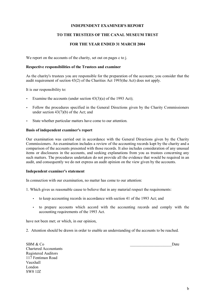#### **INDEPENDENT EXAMINER'S REPORT**

#### **TO THE TRUSTEES OF THE CANAL MUSEUM TRUST**

#### **FOR THE YEAR ENDED 31 MARCH 2004**

We report on the accounts of the charity, set out on pages c to j.

#### **Respective responsibilities of the Trustees and examiner**

As the charity's trustees you are responsible for the preparation of the accounts; you consider that the audit requirement of section 43(2) of the Charities Act 1993(the Act) does not apply.

It is our responsibility to:

- Examine the accounts (under section  $43(3)(a)$  of the 1993 Act);
- Follow the procedures specified in the General Directions given by the Charity Commissioners under section 43(7)(b) of the Act; and
- State whether particular matters have come to our attention.

#### **Basis of independent examiner's report**

Our examination was carried out in accordance with the General Directions given by the Charity Commissioners. An examination includes a review of the accounting records kept by the charity and a comparison of the accounts presented with those records. It also includes consideration of any unusual items or disclosures in the accounts, and seeking explanations from you as trustees concerning any such matters. The procedures undertaken do not provide all the evidence that would be required in an audit, and consequently we do not express an audit opinion on the view given by the accounts.

#### **Independent examiner's statement**

In connection with our examination, no matter has come to our attention:

- 1. Which gives us reasonable cause to believe that in any material respect the requirements:
	- to keep accounting records in accordance with section 41 of the 1993 Act; and
	- to prepare accounts which accord with the accounting records and comply with the accounting requirements of the 1993 Act.

have not been met; or which, in our opinion,

2. Attention should be drawn in order to enable an understanding of the accounts to be reached.

 $SBM & Co$  Date Chartered Accountants Registered Auditors 117 Fentiman Road Vauxhall London SW8 1JZ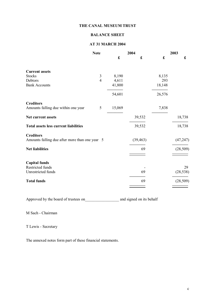## **BALANCE SHEET**

#### **AT 31 MARCH 2004**

|                                                         | <b>Note</b>    | 2004                 |           |        | 2003      |  |
|---------------------------------------------------------|----------------|----------------------|-----------|--------|-----------|--|
|                                                         |                | $\pmb{\mathfrak{L}}$ | £         | £      | £         |  |
| <b>Current assets</b>                                   |                |                      |           |        |           |  |
| <b>Stocks</b>                                           | 3              | 8,190                |           | 8,135  |           |  |
| Debtors                                                 | $\overline{4}$ | 4,611                |           | 293    |           |  |
| <b>Bank Accounts</b>                                    |                | 41,800               |           | 18,148 |           |  |
|                                                         |                | 54,601               |           | 26,576 |           |  |
| <b>Creditors</b><br>Amounts falling due within one year | 5              | 15,069               |           | 7,838  |           |  |
| <b>Net current assets</b>                               |                |                      | 39,532    |        | 18,738    |  |
| <b>Total assets less current liabilities</b>            |                |                      | 39,532    |        | 18,738    |  |
| <b>Creditors</b>                                        |                |                      |           |        |           |  |
| Amounts falling due after more than one year 5          |                |                      | (39, 463) |        | (47, 247) |  |
| <b>Net liabilities</b>                                  |                |                      | 69        |        | (28, 509) |  |
|                                                         |                |                      |           |        |           |  |
| <b>Capital funds</b>                                    |                |                      |           |        |           |  |
| Restricted funds                                        |                |                      |           |        | 29        |  |
| Unrestricted funds                                      |                |                      | 69        |        | (28, 538) |  |
| <b>Total funds</b>                                      |                |                      | 69        |        | (28, 509) |  |
|                                                         |                |                      |           |        |           |  |

Approved by the board of trustees on\_\_\_\_\_\_\_\_\_\_\_\_\_\_\_\_\_ and signed on its behalf

M Sach - Chairman

T Lewis - Secretary

The annexed notes form part of these financial statements.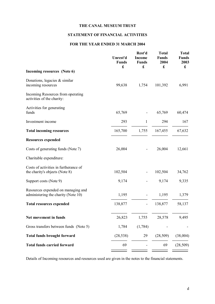## **STATEMENT OF FINANCIAL ACTIVITIES**

#### **FOR THE YEAR ENDED 31 MARCH 2004**

|                                                                           | Unrest'd<br><b>Funds</b><br>£ | Rest'd<br><b>Income</b><br><b>Funds</b><br>£ | <b>Total</b><br><b>Funds</b><br>2004<br>£ | <b>Total</b><br><b>Funds</b><br>2003<br>$\mathbf f$ |
|---------------------------------------------------------------------------|-------------------------------|----------------------------------------------|-------------------------------------------|-----------------------------------------------------|
| Incoming resources (Note 6)                                               |                               |                                              |                                           |                                                     |
| Donations, legacies $&$ similar<br>incoming resources                     | 99,638                        | 1,754                                        | 101,392                                   | 6,991                                               |
| Incoming Resources from operating<br>activities of the charity:           |                               |                                              |                                           |                                                     |
| Activities for generating<br>funds                                        | 65,769                        |                                              | 65,769                                    | 60,474                                              |
| Investment income                                                         | 293                           | 1                                            | 294                                       | 167                                                 |
| <b>Total incoming resources</b>                                           | 165,700                       | 1,755                                        | 167,455                                   | 67,632                                              |
| <b>Resources expended</b>                                                 |                               |                                              |                                           |                                                     |
| Costs of generating funds (Note 7)                                        | 26,004                        |                                              | 26,004                                    | 12,661                                              |
| Charitable expenditure:                                                   |                               |                                              |                                           |                                                     |
| Costs of activities in furtherance of<br>the charity's objects (Note 8)   | 102,504                       |                                              | 102,504                                   | 34,762                                              |
| Support costs (Note 9)                                                    | 9,174                         |                                              | 9,174                                     | 9,335                                               |
| Resources expended on managing and<br>administering the charity (Note 10) | 1,195                         |                                              | 1,195                                     | 1,379                                               |
| <b>Total resources expended</b>                                           | 138,877                       | $\overline{\phantom{0}}$                     | 138,877                                   | 58,137                                              |
| Net movement in funds                                                     | 26,823                        | 1,755                                        | 28,578                                    | 9,495                                               |
| Gross transfers between funds (Note 5)                                    | 1,784                         | (1,784)                                      |                                           |                                                     |
| <b>Total funds brought forward</b>                                        | (28, 538)                     | 29                                           | (28, 509)                                 | (38,004)                                            |
| <b>Total funds carried forward</b>                                        | 69                            |                                              | 69                                        | (28, 509)                                           |
|                                                                           |                               |                                              |                                           |                                                     |

Details of Incoming resources and resources used are given in the notes to the financial statements.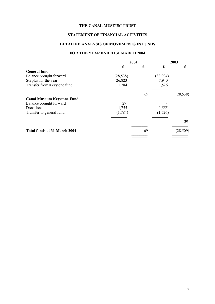## **STATEMENT OF FINANCIAL ACTIVITIES**

#### **DETAILED ANALYSIS OF MOVEMENTS IN FUNDS**

#### **FOR THE YEAR ENDED 31 MARCH 2004**

|                                     | 2004      |    |          | 2003      |
|-------------------------------------|-----------|----|----------|-----------|
|                                     | £         | £  | £        | £         |
| <b>General fund</b>                 |           |    |          |           |
| Balance brought forward             | (28, 538) |    | (38,004) |           |
| Surplus for the year                | 26,823    |    | 7,940    |           |
| Transfer from Keystone fund         | 1,784     |    | 1,526    |           |
|                                     |           | 69 |          | (28, 538) |
| <b>Canal Museum Keystone Fund</b>   |           |    |          |           |
| Balance brought forward             | 29        |    |          |           |
| Donations                           | 1,755     |    | 1,555    |           |
| Transfer to general fund            | (1,784)   |    | (1,526)  |           |
|                                     |           |    |          | 29        |
| <b>Total funds at 31 March 2004</b> |           | 69 |          | (28, 509) |
|                                     |           |    |          |           |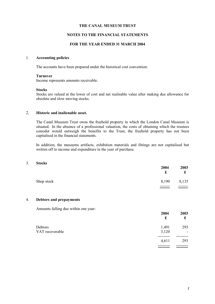#### **NOTES TO THE FINANCIAL STATEMENTS**

#### **FOR THE YEAR ENDED 31 MARCH 2004**

#### 1. **Accounting policies**

The accounts have been prepared under the historical cost convention.

#### **Turnover**

Income represents amounts receivable.

#### **Stocks**

Stocks are valued at the lower of cost and net realisable value after making due allowance for obsolete and slow moving stocks.

#### 2. **Historic and inalienable asset.**

The Canal Museum Trust owns the freehold property in which the London Canal Museum is situated. In the absence of a professional valuation, the costs of obtaining which the trustees consider would outweigh the benefits to the Trust, the freehold property has not been capitalised in the financial statements.

In addition, the museums artifacts, exhibition materials and fittings are not capitalised but written off to income and expenditure in the year of purchase.

#### 3. **Stocks**

|            | 2004<br>£ | 2003<br>£ |
|------------|-----------|-----------|
| Shop stock | 8,190     | 8,135     |
|            |           |           |

#### 4. **Debtors and prepayments**

Amounts falling due within one year:

|                            | 2004<br>£      | 2003<br>£ |
|----------------------------|----------------|-----------|
| Debtors<br>VAT recoverable | 1,491<br>3,120 | 293<br>۰  |
|                            | 4,611          | 293       |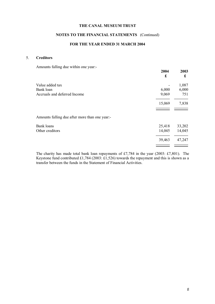#### **NOTES TO THE FINANCIAL STATEMENTS** (Continued)

#### **FOR THE YEAR ENDED 31 MARCH 2004**

#### 5. **Creditors**

Amounts falling due within one year:-

|                                                | 2004<br>£ | 2003<br>£ |
|------------------------------------------------|-----------|-----------|
| Value added tax                                |           | 1,087     |
| Bank loan                                      | 6,000     | 6,000     |
| Accruals and deferred Income                   | 9,069     | 751       |
|                                                | 15,069    | 7,838     |
| Amounts falling due after more than one year:- |           |           |
| <b>Bank loans</b>                              | 25,418    | 33,202    |
| Other creditors                                | 14,045    | 14,045    |
|                                                | 39,463    | 47,247    |
|                                                |           |           |

The charity has made total bank loan repayments of £7,784 in the year (2003: £7,801). The Keystone fund contributed £1,784 (2003: £1,526) towards the repayment and this is shown as a transfer between the funds in the Statement of Financial Activities.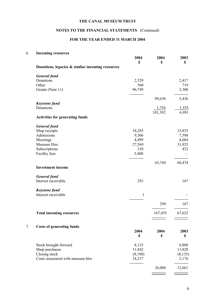## **NOTES TO THE FINANCIAL STATEMENTS** (Continued)

## **FOR THE YEAR ENDED 31 MARCH 2004**

## 6. **Incoming resources**

| 2004    | 2004                                                                                        | 2003                                      |
|---------|---------------------------------------------------------------------------------------------|-------------------------------------------|
|         |                                                                                             | £                                         |
|         |                                                                                             |                                           |
|         |                                                                                             |                                           |
|         |                                                                                             | 2,417                                     |
|         |                                                                                             | 719                                       |
|         |                                                                                             | 2,300                                     |
|         | 99,638                                                                                      | 5,436                                     |
|         |                                                                                             |                                           |
|         |                                                                                             | 1,555                                     |
|         |                                                                                             | 6,991                                     |
|         |                                                                                             |                                           |
|         |                                                                                             |                                           |
| 18,285  |                                                                                             | 15,835                                    |
| 9,306   |                                                                                             | 7,598                                     |
|         |                                                                                             | 4,684                                     |
|         |                                                                                             | 31,925                                    |
|         |                                                                                             | 432                                       |
|         |                                                                                             |                                           |
|         | 65,769                                                                                      | 60,474                                    |
|         |                                                                                             |                                           |
| 293     |                                                                                             | 167                                       |
|         |                                                                                             |                                           |
|         |                                                                                             |                                           |
|         |                                                                                             |                                           |
|         |                                                                                             | 167                                       |
|         | 167,455                                                                                     | 67,632                                    |
|         |                                                                                             |                                           |
|         |                                                                                             |                                           |
|         |                                                                                             | 2003                                      |
|         |                                                                                             | £                                         |
| 8,135   |                                                                                             | 6,800                                     |
| 11,842  |                                                                                             | 11,820                                    |
| (8,190) |                                                                                             | (8, 135)                                  |
|         |                                                                                             |                                           |
| 14,217  |                                                                                             | 2,176                                     |
|         | £<br>2,329<br>560<br>96,749<br>4,899<br>27,569<br>310<br>5,400<br>$\mathbf{1}$<br>2004<br>£ | £<br>1,754<br>101,392<br>294<br>2004<br>£ |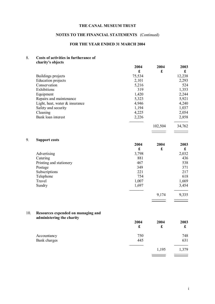## **NOTES TO THE FINANCIAL STATEMENTS** (Continued)

## **FOR THE YEAR ENDED 31 MARCH 2004**

#### 8. **Costs of activities in furtherance of charity's objects**

9. **Support costs**

|    |                                | 2004        | 2004                 | 2003        |
|----|--------------------------------|-------------|----------------------|-------------|
|    |                                | £           | £                    | £           |
|    | Buildings projects             | 75,534      |                      | 12,238      |
|    | <b>Education</b> projects      | 2,101       |                      | 2,293       |
|    | Conservation                   | 5,216       |                      | 524         |
|    | Exhibitions                    | 319         |                      | 1,353       |
|    | Equipment                      | 1,420       |                      | 2,244       |
|    | Repairs and maintenance        | 5,323       |                      | 5,921       |
|    | Light, heat, water & insurance | 4,946       |                      | 4,240       |
|    | Safety and security            | 1,194       |                      | 1,037       |
|    | Cleaning                       | 4,225       |                      | 2,054       |
|    | Bank loan interest             | 2,226       |                      | 2,858       |
|    |                                |             | 102,504              | 34,762      |
|    |                                |             |                      |             |
| 9. | <b>Support costs</b>           |             |                      |             |
|    |                                | 2004        | 2004                 | 2003        |
|    |                                | $\mathbf f$ | $\pmb{\mathfrak{L}}$ | $\mathbf f$ |
|    | Advertising                    | 3,798       |                      | 2,032       |
|    | Catering                       | 881         |                      | 436         |
|    | Printing and stationery        | 467         |                      | 538         |
|    | Postage                        | 349         |                      | 371         |
|    | Subscriptions                  | 221         |                      | 217         |
|    | Telephone                      | 754         |                      | 618         |
|    | Travel                         | 1,007       |                      | 1,669       |
|    | Sundry                         | 1,697       |                      | 3,454       |
|    |                                |             |                      |             |

#### 10. **Resources expended on managing and administering the charity**

|              | 2004<br>£ | 2004<br>$\pmb{\mathfrak{L}}$ | 2003<br>£ |
|--------------|-----------|------------------------------|-----------|
| Accountancy  | 750       |                              | 748       |
| Bank charges | 445       |                              | 631       |
|              |           | 1,195                        | 1,379     |
|              |           |                              |           |